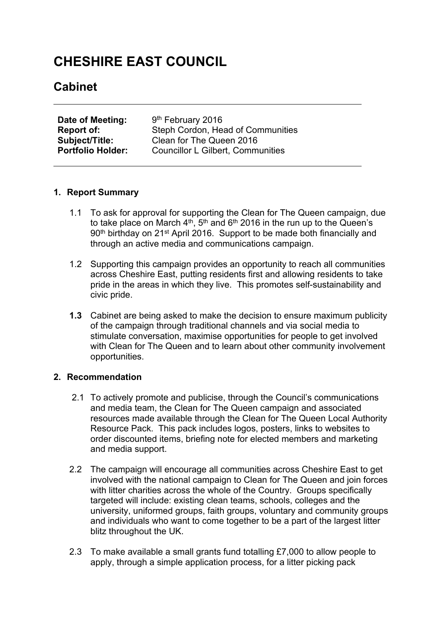# **CHESHIRE EAST COUNCIL**

# **Cabinet**

| Date of Meeting:         | 9 <sup>th</sup> February 2016            |
|--------------------------|------------------------------------------|
| Report of:               | Steph Cordon, Head of Communities        |
| <b>Subject/Title:</b>    | Clean for The Queen 2016                 |
| <b>Portfolio Holder:</b> | <b>Councillor L Gilbert, Communities</b> |

#### **1. Report Summary**

- 1.1 To ask for approval for supporting the Clean for The Queen campaign, due to take place on March 4<sup>th</sup>, 5<sup>th</sup> and 6<sup>th</sup> 2016 in the run up to the Queen's 90th birthday on 21st April 2016. Support to be made both financially and through an active media and communications campaign.
- 1.2 Supporting this campaign provides an opportunity to reach all communities across Cheshire East, putting residents first and allowing residents to take pride in the areas in which they live. This promotes self-sustainability and civic pride.
- **1.3** Cabinet are being asked to make the decision to ensure maximum publicity of the campaign through traditional channels and via social media to stimulate conversation, maximise opportunities for people to get involved with Clean for The Queen and to learn about other community involvement opportunities.

# **2. Recommendation**

- 2.1 To actively promote and publicise, through the Council's communications and media team, the Clean for The Queen campaign and associated resources made available through the Clean for The Queen Local Authority Resource Pack. This pack includes logos, posters, links to websites to order discounted items, briefing note for elected members and marketing and media support.
- 2.2 The campaign will encourage all communities across Cheshire East to get involved with the national campaign to Clean for The Queen and join forces with litter charities across the whole of the Country. Groups specifically targeted will include: existing clean teams, schools, colleges and the university, uniformed groups, faith groups, voluntary and community groups and individuals who want to come together to be a part of the largest litter blitz throughout the UK.
- 2.3 To make available a small grants fund totalling £7,000 to allow people to apply, through a simple application process, for a litter picking pack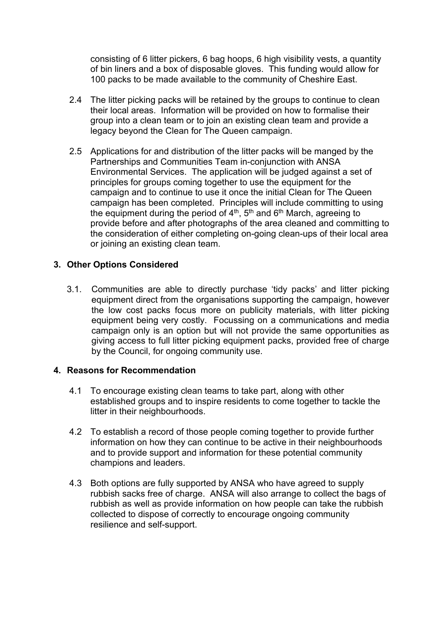consisting of 6 litter pickers, 6 bag hoops, 6 high visibility vests, a quantity of bin liners and a box of disposable gloves. This funding would allow for 100 packs to be made available to the community of Cheshire East.

- 2.4 The litter picking packs will be retained by the groups to continue to clean their local areas. Information will be provided on how to formalise their group into a clean team or to join an existing clean team and provide a legacy beyond the Clean for The Queen campaign.
- 2.5 Applications for and distribution of the litter packs will be manged by the Partnerships and Communities Team in-conjunction with ANSA Environmental Services. The application will be judged against a set of principles for groups coming together to use the equipment for the campaign and to continue to use it once the initial Clean for The Queen campaign has been completed. Principles will include committing to using the equipment during the period of 4<sup>th</sup>, 5<sup>th</sup> and 6<sup>th</sup> March, agreeing to provide before and after photographs of the area cleaned and committing to the consideration of either completing on-going clean-ups of their local area or joining an existing clean team.

# **3. Other Options Considered**

3.1. Communities are able to directly purchase 'tidy packs' and litter picking equipment direct from the organisations supporting the campaign, however the low cost packs focus more on publicity materials, with litter picking equipment being very costly. Focussing on a communications and media campaign only is an option but will not provide the same opportunities as giving access to full litter picking equipment packs, provided free of charge by the Council, for ongoing community use.

#### **4. Reasons for Recommendation**

- 4.1 To encourage existing clean teams to take part, along with other established groups and to inspire residents to come together to tackle the litter in their neighbourhoods.
- 4.2 To establish a record of those people coming together to provide further information on how they can continue to be active in their neighbourhoods and to provide support and information for these potential community champions and leaders.
- 4.3 Both options are fully supported by ANSA who have agreed to supply rubbish sacks free of charge. ANSA will also arrange to collect the bags of rubbish as well as provide information on how people can take the rubbish collected to dispose of correctly to encourage ongoing community resilience and self-support.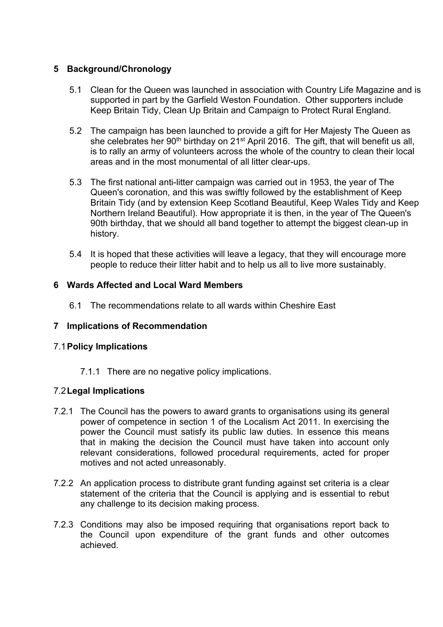# **5 Background/Chronology**

- 5.1 Clean for the Queen was launched in association with Country Life Magazine and is supported in part by the Garfield Weston Foundation. Other supporters include Keep Britain Tidy, Clean Up Britain and Campaign to Protect Rural England.
- 5.2 The campaign has been launched to provide a gift for Her Majesty The Queen as she celebrates her 90<sup>th</sup> birthday on 21<sup>st</sup> April 2016. The gift, that will benefit us all, is to rally an army of volunteers across the whole of the country to clean their local areas and in the most monumental of all litter clear-ups.
- 5.3 The first national anti-litter campaign was carried out in 1953, the year of The Queen's coronation, and this was swiftly followed by the establishment of Keep Britain Tidy (and by extension Keep Scotland Beautiful, Keep Wales Tidy and Keep Northern Ireland Beautiful). How appropriate it is then, in the year of The Queen's 90th birthday, that we should all band together to attempt the biggest clean-up in history.
- 5.4 It is hoped that these activities will leave a legacy, that they will encourage more people to reduce their litter habit and to help us all to live more sustainably.

# **6 Wards Affected and Local Ward Members**

6.1 The recommendations relate to all wards within Cheshire East

#### **7 Implications of Recommendation**

#### 7.1**Policy Implications**

7.1.1 There are no negative policy implications.

#### 7.2**Legal Implications**

- 7.2.1 The Council has the powers to award grants to organisations using its general power of competence in section 1 of the Localism Act 2011. In exercising the power the Council must satisfy its public law duties. In essence this means that in making the decision the Council must have taken into account only relevant considerations, followed procedural requirements, acted for proper motives and not acted unreasonably.
- 7.2.2 An application process to distribute grant funding against set criteria is a clear statement of the criteria that the Council is applying and is essential to rebut any challenge to its decision making process.
- 7.2.3 Conditions may also be imposed requiring that organisations report back to the Council upon expenditure of the grant funds and other outcomes achieved.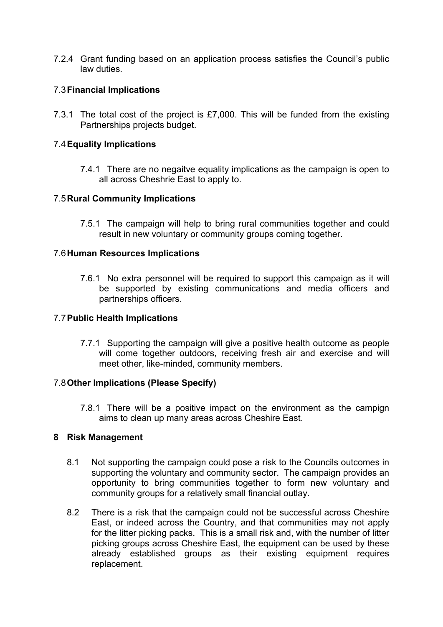7.2.4 Grant funding based on an application process satisfies the Council's public law duties.

# 7.3**Financial Implications**

7.3.1 The total cost of the project is £7,000. This will be funded from the existing Partnerships projects budget.

#### 7.4**Equality Implications**

7.4.1 There are no negaitve equality implications as the campaign is open to all across Cheshrie East to apply to.

# 7.5**Rural Community Implications**

7.5.1 The campaign will help to bring rural communities together and could result in new voluntary or community groups coming together.

#### 7.6**Human Resources Implications**

7.6.1 No extra personnel will be required to support this campaign as it will be supported by existing communications and media officers and partnerships officers.

#### 7.7**Public Health Implications**

7.7.1 Supporting the campaign will give a positive health outcome as people will come together outdoors, receiving fresh air and exercise and will meet other, like-minded, community members.

#### 7.8**Other Implications (Please Specify)**

7.8.1 There will be a positive impact on the environment as the campign aims to clean up many areas across Cheshire East.

#### **8 Risk Management**

- 8.1 Not supporting the campaign could pose a risk to the Councils outcomes in supporting the voluntary and community sector. The campaign provides an opportunity to bring communities together to form new voluntary and community groups for a relatively small financial outlay.
- 8.2 There is a risk that the campaign could not be successful across Cheshire East, or indeed across the Country, and that communities may not apply for the litter picking packs. This is a small risk and, with the number of litter picking groups across Cheshire East, the equipment can be used by these already established groups as their existing equipment requires replacement.